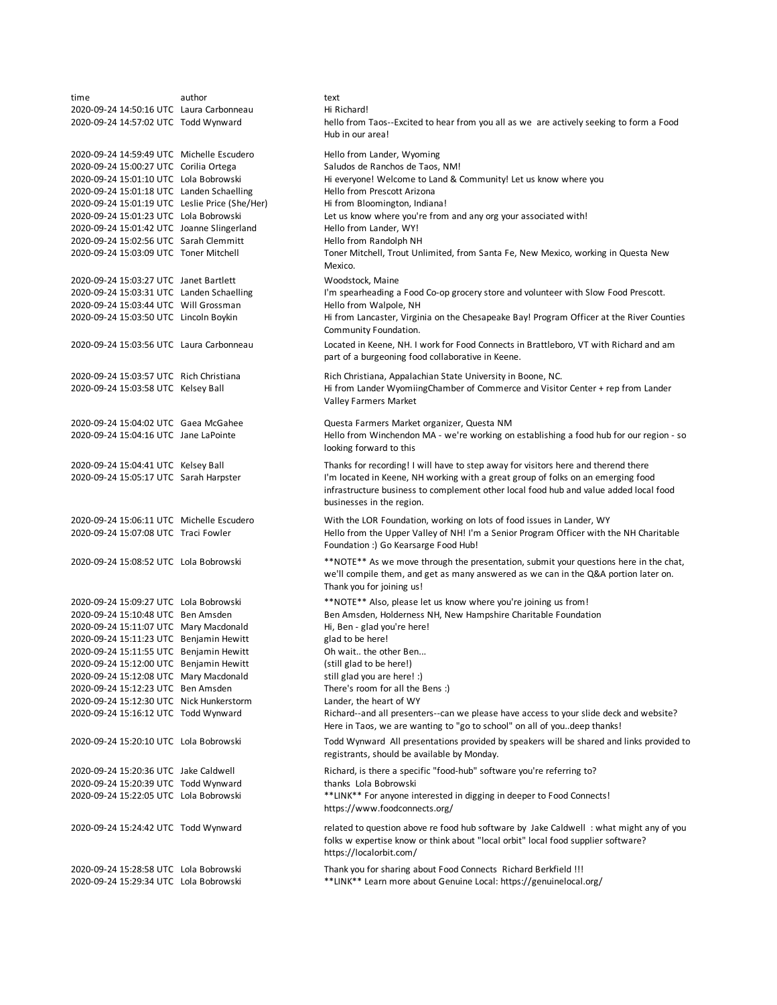time **author** author text 2020-09-24 14:50:16 UTC Laura Carbonneau Hi Richard! 2020-09-24 14:57:02 UTC Todd Wynward 2020-09-24 14:59:49 UTC Michelle Escudero Hello from Lander, Wyoming 2020-09-24 15:00:27 UTC Corilia Ortega Saludos de Ranchos de Taos, NM! 2020-09-24 15:01:10 UTC Lola Bobrowski Hi everyone! Welcome to Land & Community! Let us know where you 2020-09-24 15:01:18 UTC Landen Schaelling Hello from Prescott Arizona 2020-09-24 15:01:19 UTC Leslie Price (She/Her) Hi from Bloomington, Indiana! 2020-09-24 15:01:23 UTC Lola Bobrowski Let us know where you're from and any org your associated with! 2020-09-24 15:01:42 UTC Joanne Slingerland Hello from Lander, WY! 2020-09-24 15:02:56 UTC Sarah Clemmitt Hello from Randolph NH 2020-09-24 15:03:09 UTC Toner Mitchell 2020-09-24 15:03:27 UTC Janet Bartlett Woodstock, Maine<br>2020-09-24 15:03:31 UTC Landen Schaelling (1997) The Spearheading a I'm spearheading a Food Co-op grocery store and volunteer with Slow Food Prescott. 2020-09-24 15:03:44 UTC Will Grossman Hello from Walpole, NH 2020-09-24 15:03:50 UTC Lincoln Boykin 2020-09-24 15:03:56 UTC Laura Carbonneau 2020-09-24 15:03:57 UTC Rich Christiana Rich Christiana, Appalachian State University in Boone, NC. 2020-09-24 15:03:58 UTC Kelsey Ball 2020-09-24 15:04:02 UTC Gaea McGahee Questa Farmers Market organizer, Questa NM 2020-09-24 15:04:16 UTC Jane LaPointe 2020-09-24 15:04:41 UTC Kelsey Ball Thanks for recording! I will have to step away for visitors here and therend there 2020-09-24 15:05:17 UTC Sarah Harpster 2020-09-24 15:06:11 UTC Michelle Escudero With the LOR Foundation, working on lots of food issues in Lander, WY 2020-09-24 15:07:08 UTC Traci Fowler 2020-09-24 15:08:52 UTC Lola Bobrowski 2020-09-24 15:09:27 UTC Lola Bobrowski \*\*NOTE\*\* Also, please let us know where you're joining us from! Ben Amsden, Holderness NH, New Hampshire Charitable Foundation 2020-09-24 15:11:07 UTC Mary Macdonald Hi, Ben - glad you're here! 2020-09-24 15:11:23 UTC Benjamin Hewitt glad to be here! 2020-09-24 15:11:55 UTC Benjamin Hewitt Oh wait.. the other Ben... 2020-09-24 15:12:00 UTC Benjamin Hewitt (still glad to be here!) 2020-09-24 15:12:08 UTC Mary Macdonald still glad you are here! :) 2020-09-24 15:12:23 UTC Ben Amsden There's room for all the Bens :) 2020-09-24 15:12:30 UTC Nick Hunkerstorm Lander, the heart of WY 2020-09-24 15:16:12 UTC Todd Wynward 2020-09-24 15:20:10 UTC Lola Bobrowski 2020-09-24 15:20:36 UTC Jake Caldwell Richard, is there a specific "food-hub" software you're referring to? 2020-09-24 15:20:39 UTC Todd Wynward thanks Lola Bobrowski 2020-09-24 15:22:05 UTC Lola Bobrowski 2020-09-24 15:24:42 UTC Todd Wynward 2020-09-24 15:28:58 UTC Lola Bobrowski Thank you for sharing about Food Connects Richard Berkfield !!! 2020-09-24 15:29:34 UTC Lola Bobrowski \*\*LINK\*\* Learn more about Genuine Local: https://genuinelocal.org/ related to question above re food hub software by Jake Caldwell : what might any of you folks w expertise know or think about "local orbit" local food supplier software? https://localorbit.com/ I'm located in Keene, NH working with a great group of folks on an emerging food infrastructure business to complement other local food hub and value added local food businesses in the region. Hello from the Upper Valley of NH! I'm a Senior Program Officer with the NH Charitable Foundation :) Go Kearsarge Food Hub! \*\*NOTE\*\* As we move through the presentation, submit your questions here in the chat, we'll compile them, and get as many answered as we can in the Q&A portion later on. Thank you for joining us! Richard--and all presenters--can we please have access to your slide deck and website? Here in Taos, we are wanting to "go to school" on all of you..deep thanks! Todd Wynward All presentations provided by speakers will be shared and links provided to registrants, should be available by Monday. \*\*LINK\*\* For anyone interested in digging in deeper to Food Connects! https://www.foodconnects.org/ hello from Taos--Excited to hear from you all as we are actively seeking to form a Food Hub in our area! Toner Mitchell, Trout Unlimited, from Santa Fe, New Mexico, working in Questa New Mexico. Hi from Lancaster, Virginia on the Chesapeake Bay! Program Officer at the River Counties Community Foundation. Located in Keene, NH. I work for Food Connects in Brattleboro, VT with Richard and am part of a burgeoning food collaborative in Keene. Hi from Lander WyomiingChamber of Commerce and Visitor Center + rep from Lander Valley Farmers Market Hello from Winchendon MA - we're working on establishing a food hub for our region - so looking forward to this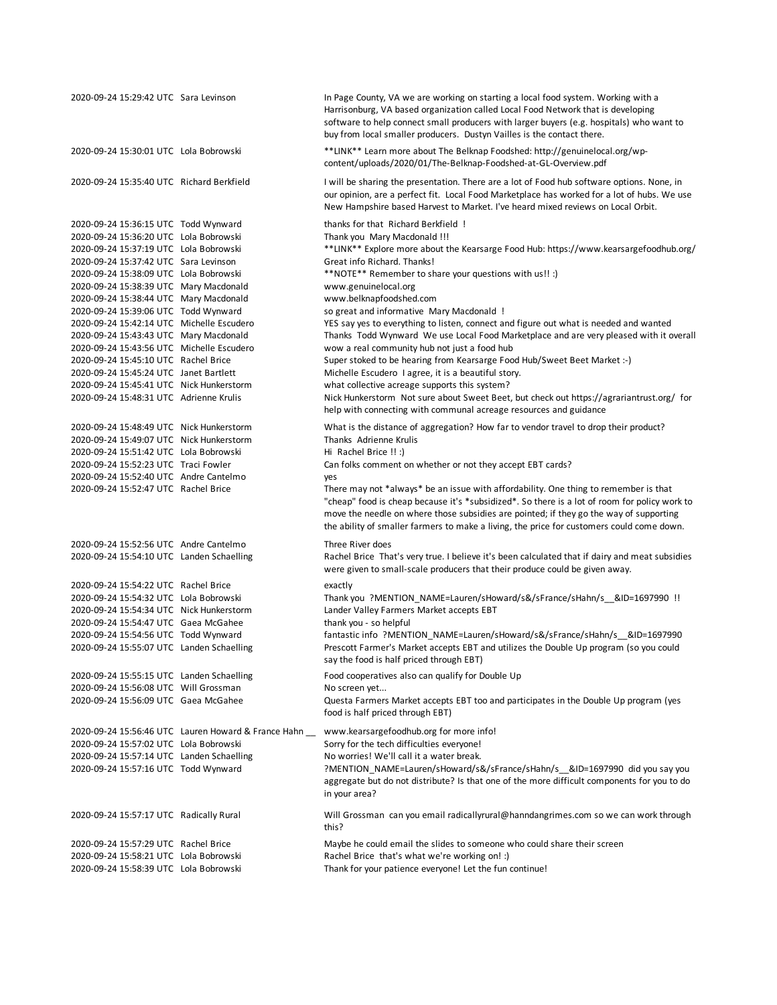| 2020-09-24 15:29:42 UTC Sara Levinson                                                                                                                                                                                                                                                                                                                                                                                                                                                                                                                                                                                                                |                                                     | In Page County, VA we are working on starting a local food system. Working with a<br>Harrisonburg, VA based organization called Local Food Network that is developing<br>software to help connect small producers with larger buyers (e.g. hospitals) who want to<br>buy from local smaller producers. Dustyn Vailles is the contact there.                                                                                                                                                                                                                                                                                                                                                                                                                                                                                                                               |
|------------------------------------------------------------------------------------------------------------------------------------------------------------------------------------------------------------------------------------------------------------------------------------------------------------------------------------------------------------------------------------------------------------------------------------------------------------------------------------------------------------------------------------------------------------------------------------------------------------------------------------------------------|-----------------------------------------------------|---------------------------------------------------------------------------------------------------------------------------------------------------------------------------------------------------------------------------------------------------------------------------------------------------------------------------------------------------------------------------------------------------------------------------------------------------------------------------------------------------------------------------------------------------------------------------------------------------------------------------------------------------------------------------------------------------------------------------------------------------------------------------------------------------------------------------------------------------------------------------|
| 2020-09-24 15:30:01 UTC Lola Bobrowski                                                                                                                                                                                                                                                                                                                                                                                                                                                                                                                                                                                                               |                                                     | **LINK** Learn more about The Belknap Foodshed: http://genuinelocal.org/wp-<br>content/uploads/2020/01/The-Belknap-Foodshed-at-GL-Overview.pdf                                                                                                                                                                                                                                                                                                                                                                                                                                                                                                                                                                                                                                                                                                                            |
| 2020-09-24 15:35:40 UTC Richard Berkfield                                                                                                                                                                                                                                                                                                                                                                                                                                                                                                                                                                                                            |                                                     | I will be sharing the presentation. There are a lot of Food hub software options. None, in<br>our opinion, are a perfect fit. Local Food Marketplace has worked for a lot of hubs. We use<br>New Hampshire based Harvest to Market. I've heard mixed reviews on Local Orbit.                                                                                                                                                                                                                                                                                                                                                                                                                                                                                                                                                                                              |
| 2020-09-24 15:36:15 UTC Todd Wynward<br>2020-09-24 15:36:20 UTC Lola Bobrowski<br>2020-09-24 15:37:19 UTC Lola Bobrowski<br>2020-09-24 15:37:42 UTC Sara Levinson<br>2020-09-24 15:38:09 UTC Lola Bobrowski<br>2020-09-24 15:38:39 UTC Mary Macdonald<br>2020-09-24 15:38:44 UTC Mary Macdonald<br>2020-09-24 15:39:06 UTC Todd Wynward<br>2020-09-24 15:42:14 UTC Michelle Escudero<br>2020-09-24 15:43:43 UTC Mary Macdonald<br>2020-09-24 15:43:56 UTC Michelle Escudero<br>2020-09-24 15:45:10 UTC Rachel Brice<br>2020-09-24 15:45:24 UTC Janet Bartlett<br>2020-09-24 15:45:41 UTC Nick Hunkerstorm<br>2020-09-24 15:48:31 UTC Adrienne Krulis |                                                     | thanks for that Richard Berkfield !<br>Thank you Mary Macdonald !!!<br>**LINK** Explore more about the Kearsarge Food Hub: https://www.kearsargefoodhub.org/<br>Great info Richard. Thanks!<br>**NOTE** Remember to share your questions with us!! :)<br>www.genuinelocal.org<br>www.belknapfoodshed.com<br>so great and informative Mary Macdonald !<br>YES say yes to everything to listen, connect and figure out what is needed and wanted<br>Thanks Todd Wynward We use Local Food Marketplace and are very pleased with it overall<br>wow a real community hub not just a food hub<br>Super stoked to be hearing from Kearsarge Food Hub/Sweet Beet Market :- )<br>Michelle Escudero I agree, it is a beautiful story.<br>what collective acreage supports this system?<br>Nick Hunkerstorm Not sure about Sweet Beet, but check out https://agrariantrust.org/ for |
| 2020-09-24 15:48:49 UTC Nick Hunkerstorm<br>2020-09-24 15:49:07 UTC Nick Hunkerstorm<br>2020-09-24 15:51:42 UTC Lola Bobrowski<br>2020-09-24 15:52:23 UTC Traci Fowler<br>2020-09-24 15:52:40 UTC Andre Cantelmo<br>2020-09-24 15:52:47 UTC Rachel Brice                                                                                                                                                                                                                                                                                                                                                                                             |                                                     | help with connecting with communal acreage resources and guidance<br>What is the distance of aggregation? How far to vendor travel to drop their product?<br>Thanks Adrienne Krulis<br>Hi Rachel Brice !! :)<br>Can folks comment on whether or not they accept EBT cards?<br>yes<br>There may not *always* be an issue with affordability. One thing to remember is that<br>"cheap" food is cheap because it's *subsidized*. So there is a lot of room for policy work to<br>move the needle on where those subsidies are pointed; if they go the way of supporting<br>the ability of smaller farmers to make a living, the price for customers could come down.                                                                                                                                                                                                         |
| 2020-09-24 15:52:56 UTC Andre Cantelmo<br>2020-09-24 15:54:10 UTC Landen Schaelling                                                                                                                                                                                                                                                                                                                                                                                                                                                                                                                                                                  |                                                     | Three River does<br>Rachel Brice That's very true. I believe it's been calculated that if dairy and meat subsidies<br>were given to small-scale producers that their produce could be given away.                                                                                                                                                                                                                                                                                                                                                                                                                                                                                                                                                                                                                                                                         |
| 2020-09-24 15:54:22 UTC Rachel Brice<br>2020-09-24 15:54:32 UTC Lola Bobrowski<br>2020-09-24 15:54:34 UTC Nick Hunkerstorm<br>2020-09-24 15:54:47 UTC Gaea McGahee<br>2020-09-24 15:54:56 UTC Todd Wynward<br>2020-09-24 15:55:07 UTC Landen Schaelling                                                                                                                                                                                                                                                                                                                                                                                              |                                                     | exactly<br>Thank you ?MENTION_NAME=Lauren/sHoward/s&/sFrance/sHahn/s__&ID=1697990 !!<br>Lander Valley Farmers Market accepts EBT<br>thank you - so helpful<br>fantastic info ?MENTION_NAME=Lauren/sHoward/s&/sFrance/sHahn/s__&ID=1697990<br>Prescott Farmer's Market accepts EBT and utilizes the Double Up program (so you could<br>say the food is half priced through EBT)                                                                                                                                                                                                                                                                                                                                                                                                                                                                                            |
| 2020-09-24 15:55:15 UTC Landen Schaelling<br>2020-09-24 15:56:08 UTC Will Grossman<br>2020-09-24 15:56:09 UTC Gaea McGahee                                                                                                                                                                                                                                                                                                                                                                                                                                                                                                                           |                                                     | Food cooperatives also can qualify for Double Up<br>No screen yet<br>Questa Farmers Market accepts EBT too and participates in the Double Up program (yes<br>food is half priced through EBT)                                                                                                                                                                                                                                                                                                                                                                                                                                                                                                                                                                                                                                                                             |
| 2020-09-24 15:57:02 UTC Lola Bobrowski<br>2020-09-24 15:57:14 UTC Landen Schaelling<br>2020-09-24 15:57:16 UTC Todd Wynward                                                                                                                                                                                                                                                                                                                                                                                                                                                                                                                          | 2020-09-24 15:56:46 UTC Lauren Howard & France Hahn | www.kearsargefoodhub.org for more info!<br>Sorry for the tech difficulties everyone!<br>No worries! We'll call it a water break.<br>?MENTION_NAME=Lauren/sHoward/s&/sFrance/sHahn/s__&ID=1697990 did you say you<br>aggregate but do not distribute? Is that one of the more difficult components for you to do<br>in your area?                                                                                                                                                                                                                                                                                                                                                                                                                                                                                                                                          |
| 2020-09-24 15:57:17 UTC Radically Rural                                                                                                                                                                                                                                                                                                                                                                                                                                                                                                                                                                                                              |                                                     | Will Grossman can you email radicallyrural@hanndangrimes.com so we can work through<br>this?                                                                                                                                                                                                                                                                                                                                                                                                                                                                                                                                                                                                                                                                                                                                                                              |
| 2020-09-24 15:57:29 UTC Rachel Brice<br>2020-09-24 15:58:21 UTC Lola Bobrowski<br>2020-09-24 15:58:39 UTC Lola Bobrowski                                                                                                                                                                                                                                                                                                                                                                                                                                                                                                                             |                                                     | Maybe he could email the slides to someone who could share their screen<br>Rachel Brice that's what we're working on! :)<br>Thank for your patience everyone! Let the fun continue!                                                                                                                                                                                                                                                                                                                                                                                                                                                                                                                                                                                                                                                                                       |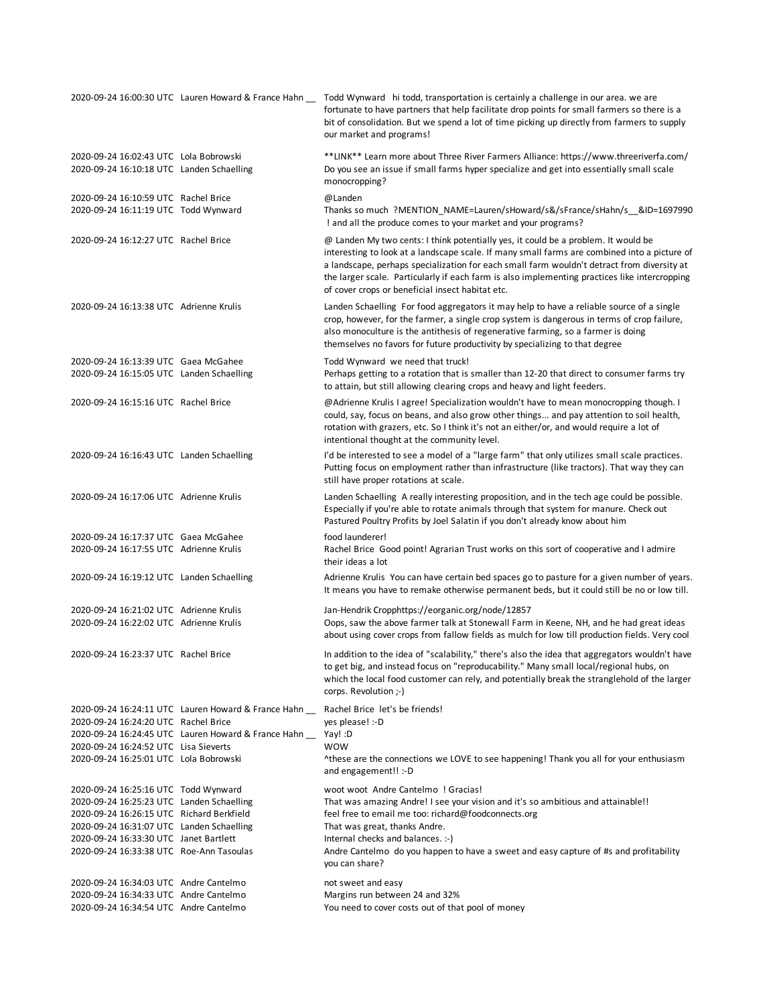|                                                                                     | 2020-09-24 16:00:30 UTC Lauren Howard & France Hahn | Todd Wynward hi todd, transportation is certainly a challenge in our area. we are<br>fortunate to have partners that help facilitate drop points for small farmers so there is a<br>bit of consolidation. But we spend a lot of time picking up directly from farmers to supply<br>our market and programs!                                                                                                                           |
|-------------------------------------------------------------------------------------|-----------------------------------------------------|---------------------------------------------------------------------------------------------------------------------------------------------------------------------------------------------------------------------------------------------------------------------------------------------------------------------------------------------------------------------------------------------------------------------------------------|
| 2020-09-24 16:02:43 UTC Lola Bobrowski<br>2020-09-24 16:10:18 UTC Landen Schaelling |                                                     | **LINK** Learn more about Three River Farmers Alliance: https://www.threeriverfa.com/<br>Do you see an issue if small farms hyper specialize and get into essentially small scale<br>monocropping?                                                                                                                                                                                                                                    |
| 2020-09-24 16:10:59 UTC Rachel Brice<br>2020-09-24 16:11:19 UTC Todd Wynward        |                                                     | @Landen<br>Thanks so much ?MENTION_NAME=Lauren/sHoward/s&/sFrance/sHahn/s__&ID=1697990<br>! and all the produce comes to your market and your programs?                                                                                                                                                                                                                                                                               |
| 2020-09-24 16:12:27 UTC Rachel Brice                                                |                                                     | @ Landen My two cents: I think potentially yes, it could be a problem. It would be<br>interesting to look at a landscape scale. If many small farms are combined into a picture of<br>a landscape, perhaps specialization for each small farm wouldn't detract from diversity at<br>the larger scale. Particularly if each farm is also implementing practices like intercropping<br>of cover crops or beneficial insect habitat etc. |
| 2020-09-24 16:13:38 UTC Adrienne Krulis                                             |                                                     | Landen Schaelling For food aggregators it may help to have a reliable source of a single<br>crop, however, for the farmer, a single crop system is dangerous in terms of crop failure,<br>also monoculture is the antithesis of regenerative farming, so a farmer is doing<br>themselves no favors for future productivity by specializing to that degree                                                                             |
| 2020-09-24 16:13:39 UTC Gaea McGahee<br>2020-09-24 16:15:05 UTC Landen Schaelling   |                                                     | Todd Wynward we need that truck!<br>Perhaps getting to a rotation that is smaller than 12-20 that direct to consumer farms try<br>to attain, but still allowing clearing crops and heavy and light feeders.                                                                                                                                                                                                                           |
| 2020-09-24 16:15:16 UTC Rachel Brice                                                |                                                     | @Adrienne Krulis I agree! Specialization wouldn't have to mean monocropping though. I<br>could, say, focus on beans, and also grow other things and pay attention to soil health,<br>rotation with grazers, etc. So I think it's not an either/or, and would require a lot of<br>intentional thought at the community level.                                                                                                          |
| 2020-09-24 16:16:43 UTC Landen Schaelling                                           |                                                     | I'd be interested to see a model of a "large farm" that only utilizes small scale practices.<br>Putting focus on employment rather than infrastructure (like tractors). That way they can<br>still have proper rotations at scale.                                                                                                                                                                                                    |
| 2020-09-24 16:17:06 UTC Adrienne Krulis                                             |                                                     | Landen Schaelling A really interesting proposition, and in the tech age could be possible.<br>Especially if you're able to rotate animals through that system for manure. Check out<br>Pastured Poultry Profits by Joel Salatin if you don't already know about him                                                                                                                                                                   |
| 2020-09-24 16:17:37 UTC Gaea McGahee<br>2020-09-24 16:17:55 UTC Adrienne Krulis     |                                                     | food launderer!<br>Rachel Brice Good point! Agrarian Trust works on this sort of cooperative and I admire<br>their ideas a lot                                                                                                                                                                                                                                                                                                        |
| 2020-09-24 16:19:12 UTC Landen Schaelling                                           |                                                     | Adrienne Krulis You can have certain bed spaces go to pasture for a given number of years.<br>It means you have to remake otherwise permanent beds, but it could still be no or low till.                                                                                                                                                                                                                                             |
| 2020-09-24 16:21:02 UTC Adrienne Krulis<br>2020-09-24 16:22:02 UTC Adrienne Krulis  |                                                     | Jan-Hendrik Cropphttps://eorganic.org/node/12857<br>Oops, saw the above farmer talk at Stonewall Farm in Keene, NH, and he had great ideas<br>about using cover crops from fallow fields as mulch for low till production fields. Very cool                                                                                                                                                                                           |
| 2020-09-24 16:23:37 UTC Rachel Brice                                                |                                                     | In addition to the idea of "scalability," there's also the idea that aggregators wouldn't have<br>to get big, and instead focus on "reproducability." Many small local/regional hubs, on<br>which the local food customer can rely, and potentially break the stranglehold of the larger<br>corps. Revolution ;-)                                                                                                                     |
|                                                                                     | 2020-09-24 16:24:11 UTC Lauren Howard & France Hahn | Rachel Brice let's be friends!                                                                                                                                                                                                                                                                                                                                                                                                        |
| 2020-09-24 16:24:20 UTC Rachel Brice                                                |                                                     | yes please! :-D                                                                                                                                                                                                                                                                                                                                                                                                                       |
|                                                                                     | 2020-09-24 16:24:45 UTC Lauren Howard & France Hahn | Yay! :D<br><b>WOW</b>                                                                                                                                                                                                                                                                                                                                                                                                                 |
| 2020-09-24 16:24:52 UTC Lisa Sieverts<br>2020-09-24 16:25:01 UTC Lola Bobrowski     |                                                     | Athese are the connections we LOVE to see happening! Thank you all for your enthusiasm<br>and engagement!! :-D                                                                                                                                                                                                                                                                                                                        |
| 2020-09-24 16:25:16 UTC Todd Wynward                                                |                                                     | woot woot Andre Cantelmo ! Gracias!                                                                                                                                                                                                                                                                                                                                                                                                   |
| 2020-09-24 16:25:23 UTC Landen Schaelling                                           |                                                     | That was amazing Andre! I see your vision and it's so ambitious and attainable!!                                                                                                                                                                                                                                                                                                                                                      |
| 2020-09-24 16:26:15 UTC Richard Berkfield                                           |                                                     | feel free to email me too: richard@foodconnects.org                                                                                                                                                                                                                                                                                                                                                                                   |
| 2020-09-24 16:31:07 UTC Landen Schaelling<br>2020-09-24 16:33:30 UTC Janet Bartlett |                                                     | That was great, thanks Andre.<br>Internal checks and balances. :-)                                                                                                                                                                                                                                                                                                                                                                    |
| 2020-09-24 16:33:38 UTC Roe-Ann Tasoulas                                            |                                                     | Andre Cantelmo do you happen to have a sweet and easy capture of #s and profitability                                                                                                                                                                                                                                                                                                                                                 |
|                                                                                     |                                                     | you can share?                                                                                                                                                                                                                                                                                                                                                                                                                        |
| 2020-09-24 16:34:03 UTC Andre Cantelmo<br>2020-09-24 16:34:33 UTC Andre Cantelmo    |                                                     | not sweet and easy                                                                                                                                                                                                                                                                                                                                                                                                                    |
| 2020-09-24 16:34:54 UTC Andre Cantelmo                                              |                                                     | Margins run between 24 and 32%<br>You need to cover costs out of that pool of money                                                                                                                                                                                                                                                                                                                                                   |
|                                                                                     |                                                     |                                                                                                                                                                                                                                                                                                                                                                                                                                       |